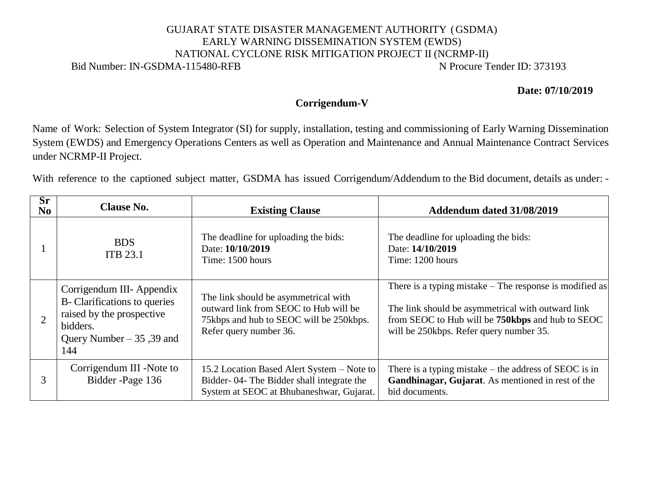## GUJARAT STATE DISASTER MANAGEMENT AUTHORITY (GSDMA) EARLY WARNING DISSEMINATION SYSTEM (EWDS) NATIONAL CYCLONE RISK MITIGATION PROJECT II (NCRMP-II) Bid Number: IN-GSDMA-115480-RFB N Procure Tender ID: 373193

**Date: 07/10/2019** 

## **Corrigendum-V**

Name of Work: Selection of System Integrator (SI) for supply, installation, testing and commissioning of Early Warning Dissemination System (EWDS) and Emergency Operations Centers as well as Operation and Maintenance and Annual Maintenance Contract Services under NCRMP-II Project.

With reference to the captioned subject matter, GSDMA has issued Corrigendum/Addendum to the Bid document, details as under: -

 $\overline{\phantom{a}}$ 

| Sr.<br>$\bf No$ | <b>Clause No.</b>                                                                                                                        | <b>Existing Clause</b>                                                                                                                             | Addendum dated 31/08/2019                                                                                                                                                                                   |
|-----------------|------------------------------------------------------------------------------------------------------------------------------------------|----------------------------------------------------------------------------------------------------------------------------------------------------|-------------------------------------------------------------------------------------------------------------------------------------------------------------------------------------------------------------|
|                 | <b>BDS</b><br><b>ITB 23.1</b>                                                                                                            | The deadline for uploading the bids:<br>Date: 10/10/2019<br>Time: 1500 hours                                                                       | The deadline for uploading the bids:<br>Date: 14/10/2019<br>Time: 1200 hours                                                                                                                                |
|                 | Corrigendum III- Appendix<br>B- Clarifications to queries<br>raised by the prospective<br>bidders.<br>Query Number $-35$ , 39 and<br>144 | The link should be asymmetrical with<br>outward link from SEOC to Hub will be<br>75kbps and hub to SEOC will be 250kbps.<br>Refer query number 36. | There is a typing mistake – The response is modified as<br>The link should be asymmetrical with outward link<br>from SEOC to Hub will be 750kbps and hub to SEOC<br>will be 250kbps. Refer query number 35. |
| 3               | Corrigendum III -Note to<br>Bidder-Page 136                                                                                              | 15.2 Location Based Alert System – Note to<br>Bidder-04- The Bidder shall integrate the<br>System at SEOC at Bhubaneshwar, Gujarat.                | There is a typing mistake $-$ the address of SEOC is in<br>Gandhinagar, Gujarat. As mentioned in rest of the<br>bid documents.                                                                              |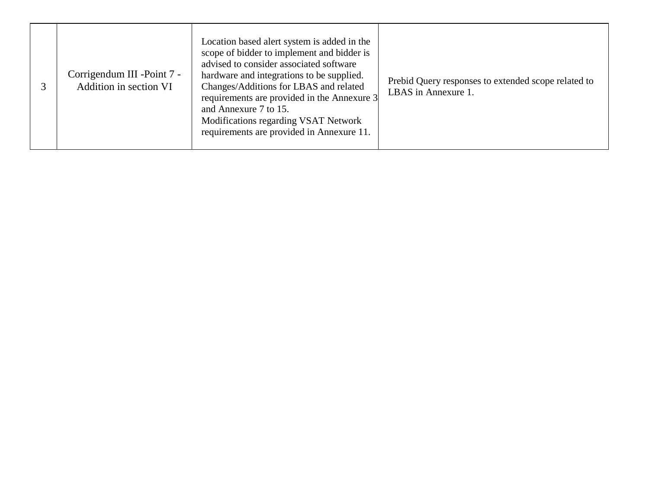|  | Corrigendum III - Point 7 -<br>Addition in section VI | Location based alert system is added in the<br>scope of bidder to implement and bidder is<br>advised to consider associated software<br>hardware and integrations to be supplied.<br>Changes/Additions for LBAS and related<br>requirements are provided in the Annexure 3<br>and Annexure 7 to 15.<br>Modifications regarding VSAT Network<br>requirements are provided in Annexure 11. | Prebid Query responses to extended scope related to<br>LBAS in Annexure 1. |
|--|-------------------------------------------------------|------------------------------------------------------------------------------------------------------------------------------------------------------------------------------------------------------------------------------------------------------------------------------------------------------------------------------------------------------------------------------------------|----------------------------------------------------------------------------|
|--|-------------------------------------------------------|------------------------------------------------------------------------------------------------------------------------------------------------------------------------------------------------------------------------------------------------------------------------------------------------------------------------------------------------------------------------------------------|----------------------------------------------------------------------------|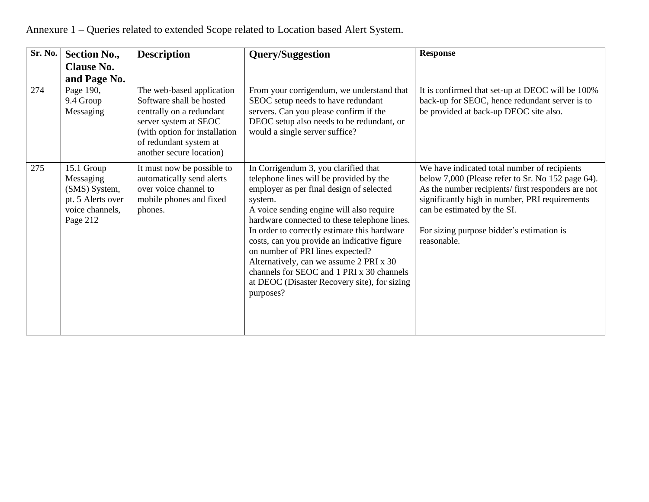| Sr. No. | <b>Section No.,</b>                                                                          | <b>Description</b>                                                                                                                                                                                | <b>Query/Suggestion</b>                                                                                                                                                                                                                                                                                                                                                                                                                                                                                                    | <b>Response</b>                                                                                                                                                                                                                                                                                      |
|---------|----------------------------------------------------------------------------------------------|---------------------------------------------------------------------------------------------------------------------------------------------------------------------------------------------------|----------------------------------------------------------------------------------------------------------------------------------------------------------------------------------------------------------------------------------------------------------------------------------------------------------------------------------------------------------------------------------------------------------------------------------------------------------------------------------------------------------------------------|------------------------------------------------------------------------------------------------------------------------------------------------------------------------------------------------------------------------------------------------------------------------------------------------------|
|         | <b>Clause No.</b><br>and Page No.                                                            |                                                                                                                                                                                                   |                                                                                                                                                                                                                                                                                                                                                                                                                                                                                                                            |                                                                                                                                                                                                                                                                                                      |
| 274     | Page 190,<br>9.4 Group<br>Messaging                                                          | The web-based application<br>Software shall be hosted<br>centrally on a redundant<br>server system at SEOC<br>(with option for installation<br>of redundant system at<br>another secure location) | From your corrigendum, we understand that<br>SEOC setup needs to have redundant<br>servers. Can you please confirm if the<br>DEOC setup also needs to be redundant, or<br>would a single server suffice?                                                                                                                                                                                                                                                                                                                   | It is confirmed that set-up at DEOC will be 100%<br>back-up for SEOC, hence redundant server is to<br>be provided at back-up DEOC site also.                                                                                                                                                         |
| 275     | 15.1 Group<br>Messaging<br>(SMS) System,<br>pt. 5 Alerts over<br>voice channels,<br>Page 212 | It must now be possible to<br>automatically send alerts<br>over voice channel to<br>mobile phones and fixed<br>phones.                                                                            | In Corrigendum 3, you clarified that<br>telephone lines will be provided by the<br>employer as per final design of selected<br>system.<br>A voice sending engine will also require<br>hardware connected to these telephone lines.<br>In order to correctly estimate this hardware<br>costs, can you provide an indicative figure<br>on number of PRI lines expected?<br>Alternatively, can we assume 2 PRI x 30<br>channels for SEOC and 1 PRI x 30 channels<br>at DEOC (Disaster Recovery site), for sizing<br>purposes? | We have indicated total number of recipients<br>below 7,000 (Please refer to Sr. No 152 page 64).<br>As the number recipients/ first responders are not<br>significantly high in number, PRI requirements<br>can be estimated by the SI.<br>For sizing purpose bidder's estimation is<br>reasonable. |

Annexure 1 – Queries related to extended Scope related to Location based Alert System.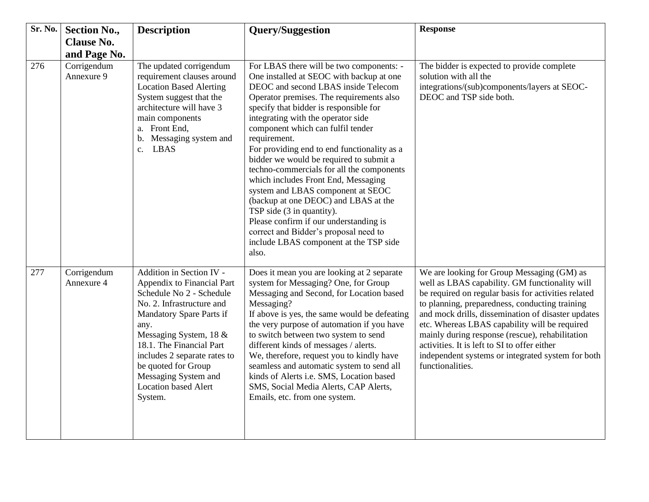| <b>Sr. No.</b> | <b>Section No.,</b>       | <b>Description</b>                                                                                                                                                                                                                                                                                                                 | <b>Query/Suggestion</b>                                                                                                                                                                                                                                                                                                                                                                                                                                                                                                                                                                                                                                                                                                                    | <b>Response</b>                                                                                                                                                                                                                                                                                                                                                                                                                                                                          |
|----------------|---------------------------|------------------------------------------------------------------------------------------------------------------------------------------------------------------------------------------------------------------------------------------------------------------------------------------------------------------------------------|--------------------------------------------------------------------------------------------------------------------------------------------------------------------------------------------------------------------------------------------------------------------------------------------------------------------------------------------------------------------------------------------------------------------------------------------------------------------------------------------------------------------------------------------------------------------------------------------------------------------------------------------------------------------------------------------------------------------------------------------|------------------------------------------------------------------------------------------------------------------------------------------------------------------------------------------------------------------------------------------------------------------------------------------------------------------------------------------------------------------------------------------------------------------------------------------------------------------------------------------|
|                | <b>Clause No.</b>         |                                                                                                                                                                                                                                                                                                                                    |                                                                                                                                                                                                                                                                                                                                                                                                                                                                                                                                                                                                                                                                                                                                            |                                                                                                                                                                                                                                                                                                                                                                                                                                                                                          |
|                | and Page No.              |                                                                                                                                                                                                                                                                                                                                    |                                                                                                                                                                                                                                                                                                                                                                                                                                                                                                                                                                                                                                                                                                                                            |                                                                                                                                                                                                                                                                                                                                                                                                                                                                                          |
| 276            | Corrigendum<br>Annexure 9 | The updated corrigendum<br>requirement clauses around<br><b>Location Based Alerting</b><br>System suggest that the<br>architecture will have 3<br>main components<br>a. Front End,<br>Messaging system and<br>b.<br><b>LBAS</b><br>$c_{\cdot}$                                                                                     | For LBAS there will be two components: -<br>One installed at SEOC with backup at one<br>DEOC and second LBAS inside Telecom<br>Operator premises. The requirements also<br>specify that bidder is responsible for<br>integrating with the operator side<br>component which can fulfil tender<br>requirement.<br>For providing end to end functionality as a<br>bidder we would be required to submit a<br>techno-commercials for all the components<br>which includes Front End, Messaging<br>system and LBAS component at SEOC<br>(backup at one DEOC) and LBAS at the<br>TSP side (3 in quantity).<br>Please confirm if our understanding is<br>correct and Bidder's proposal need to<br>include LBAS component at the TSP side<br>also. | The bidder is expected to provide complete<br>solution with all the<br>integrations/(sub)components/layers at SEOC-<br>DEOC and TSP side both.                                                                                                                                                                                                                                                                                                                                           |
| 277            | Corrigendum<br>Annexure 4 | Addition in Section IV -<br>Appendix to Financial Part<br>Schedule No 2 - Schedule<br>No. 2. Infrastructure and<br>Mandatory Spare Parts if<br>any.<br>Messaging System, 18 &<br>18.1. The Financial Part<br>includes 2 separate rates to<br>be quoted for Group<br>Messaging System and<br><b>Location based Alert</b><br>System. | Does it mean you are looking at 2 separate<br>system for Messaging? One, for Group<br>Messaging and Second, for Location based<br>Messaging?<br>If above is yes, the same would be defeating<br>the very purpose of automation if you have<br>to switch between two system to send<br>different kinds of messages / alerts.<br>We, therefore, request you to kindly have<br>seamless and automatic system to send all<br>kinds of Alerts i.e. SMS, Location based<br>SMS, Social Media Alerts, CAP Alerts,<br>Emails, etc. from one system.                                                                                                                                                                                                | We are looking for Group Messaging (GM) as<br>well as LBAS capability. GM functionality will<br>be required on regular basis for activities related<br>to planning, preparedness, conducting training<br>and mock drills, dissemination of disaster updates<br>etc. Whereas LBAS capability will be required<br>mainly during response (rescue), rehabilitation<br>activities. It is left to SI to offer either<br>independent systems or integrated system for both<br>functionalities. |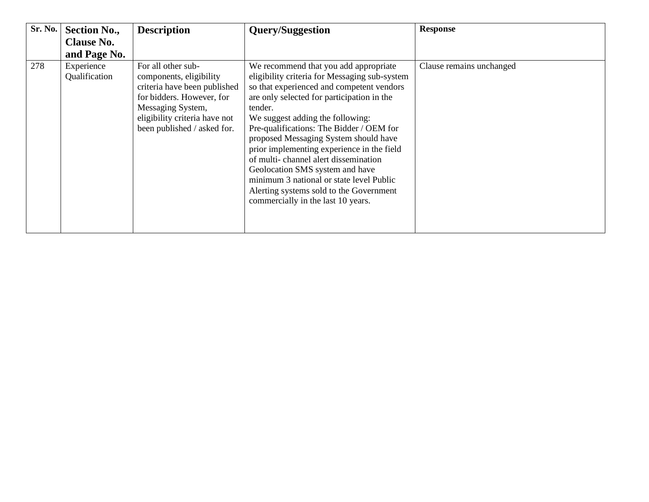| Sr. No. | <b>Section No.,</b><br><b>Clause No.</b><br>and Page No. | <b>Description</b>                                                                                                                                                                              | <b>Query/Suggestion</b>                                                                                                                                                                                                                                                                                                                                                                                                                                                                                                                                                     | <b>Response</b>          |
|---------|----------------------------------------------------------|-------------------------------------------------------------------------------------------------------------------------------------------------------------------------------------------------|-----------------------------------------------------------------------------------------------------------------------------------------------------------------------------------------------------------------------------------------------------------------------------------------------------------------------------------------------------------------------------------------------------------------------------------------------------------------------------------------------------------------------------------------------------------------------------|--------------------------|
| 278     | Experience<br>Qualification                              | For all other sub-<br>components, eligibility<br>criteria have been published<br>for bidders. However, for<br>Messaging System,<br>eligibility criteria have not<br>been published / asked for. | We recommend that you add appropriate<br>eligibility criteria for Messaging sub-system<br>so that experienced and competent vendors<br>are only selected for participation in the<br>tender.<br>We suggest adding the following:<br>Pre-qualifications: The Bidder / OEM for<br>proposed Messaging System should have<br>prior implementing experience in the field<br>of multi-channel alert dissemination<br>Geolocation SMS system and have<br>minimum 3 national or state level Public<br>Alerting systems sold to the Government<br>commercially in the last 10 years. | Clause remains unchanged |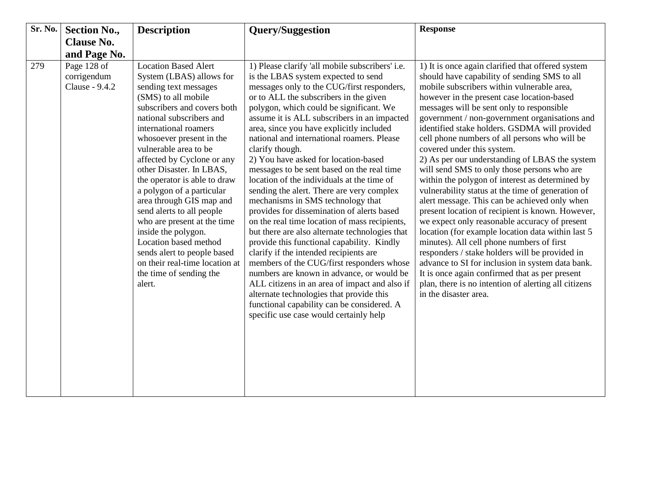| Sr. No. | <b>Section No.,</b>                          | <b>Description</b>                                                                                                                                                                                                                                                                                                                                                                                                                                                                                                                                                                                                    | <b>Query/Suggestion</b>                                                                                                                                                                                                                                                                                                                                                                                                                                                                                                                                                                                                                                                                                                                                                                                                                                                                                                                                                                                                                                                                                                             | <b>Response</b>                                                                                                                                                                                                                                                                                                                                                                                                                                                                                                                                                                                                                                                                                                                                                                                                                                                                                                                                                                                                                                                                                                                       |
|---------|----------------------------------------------|-----------------------------------------------------------------------------------------------------------------------------------------------------------------------------------------------------------------------------------------------------------------------------------------------------------------------------------------------------------------------------------------------------------------------------------------------------------------------------------------------------------------------------------------------------------------------------------------------------------------------|-------------------------------------------------------------------------------------------------------------------------------------------------------------------------------------------------------------------------------------------------------------------------------------------------------------------------------------------------------------------------------------------------------------------------------------------------------------------------------------------------------------------------------------------------------------------------------------------------------------------------------------------------------------------------------------------------------------------------------------------------------------------------------------------------------------------------------------------------------------------------------------------------------------------------------------------------------------------------------------------------------------------------------------------------------------------------------------------------------------------------------------|---------------------------------------------------------------------------------------------------------------------------------------------------------------------------------------------------------------------------------------------------------------------------------------------------------------------------------------------------------------------------------------------------------------------------------------------------------------------------------------------------------------------------------------------------------------------------------------------------------------------------------------------------------------------------------------------------------------------------------------------------------------------------------------------------------------------------------------------------------------------------------------------------------------------------------------------------------------------------------------------------------------------------------------------------------------------------------------------------------------------------------------|
|         | <b>Clause No.</b>                            |                                                                                                                                                                                                                                                                                                                                                                                                                                                                                                                                                                                                                       |                                                                                                                                                                                                                                                                                                                                                                                                                                                                                                                                                                                                                                                                                                                                                                                                                                                                                                                                                                                                                                                                                                                                     |                                                                                                                                                                                                                                                                                                                                                                                                                                                                                                                                                                                                                                                                                                                                                                                                                                                                                                                                                                                                                                                                                                                                       |
|         | and Page No.                                 |                                                                                                                                                                                                                                                                                                                                                                                                                                                                                                                                                                                                                       |                                                                                                                                                                                                                                                                                                                                                                                                                                                                                                                                                                                                                                                                                                                                                                                                                                                                                                                                                                                                                                                                                                                                     |                                                                                                                                                                                                                                                                                                                                                                                                                                                                                                                                                                                                                                                                                                                                                                                                                                                                                                                                                                                                                                                                                                                                       |
| 279     | Page 128 of<br>corrigendum<br>Clause - 9.4.2 | <b>Location Based Alert</b><br>System (LBAS) allows for<br>sending text messages<br>(SMS) to all mobile<br>subscribers and covers both<br>national subscribers and<br>international roamers<br>whosoever present in the<br>vulnerable area to be<br>affected by Cyclone or any<br>other Disaster. In LBAS,<br>the operator is able to draw<br>a polygon of a particular<br>area through GIS map and<br>send alerts to all people<br>who are present at the time<br>inside the polygon.<br>Location based method<br>sends alert to people based<br>on their real-time location at<br>the time of sending the<br>alert. | 1) Please clarify 'all mobile subscribers' i.e.<br>is the LBAS system expected to send<br>messages only to the CUG/first responders,<br>or to ALL the subscribers in the given<br>polygon, which could be significant. We<br>assume it is ALL subscribers in an impacted<br>area, since you have explicitly included<br>national and international roamers. Please<br>clarify though.<br>2) You have asked for location-based<br>messages to be sent based on the real time<br>location of the individuals at the time of<br>sending the alert. There are very complex<br>mechanisms in SMS technology that<br>provides for dissemination of alerts based<br>on the real time location of mass recipients,<br>but there are also alternate technologies that<br>provide this functional capability. Kindly<br>clarify if the intended recipients are<br>members of the CUG/first responders whose<br>numbers are known in advance, or would be<br>ALL citizens in an area of impact and also if<br>alternate technologies that provide this<br>functional capability can be considered. A<br>specific use case would certainly help | 1) It is once again clarified that offered system<br>should have capability of sending SMS to all<br>mobile subscribers within vulnerable area,<br>however in the present case location-based<br>messages will be sent only to responsible<br>government / non-government organisations and<br>identified stake holders. GSDMA will provided<br>cell phone numbers of all persons who will be<br>covered under this system.<br>2) As per our understanding of LBAS the system<br>will send SMS to only those persons who are<br>within the polygon of interest as determined by<br>vulnerability status at the time of generation of<br>alert message. This can be achieved only when<br>present location of recipient is known. However,<br>we expect only reasonable accuracy of present<br>location (for example location data within last 5<br>minutes). All cell phone numbers of first<br>responders / stake holders will be provided in<br>advance to SI for inclusion in system data bank.<br>It is once again confirmed that as per present<br>plan, there is no intention of alerting all citizens<br>in the disaster area. |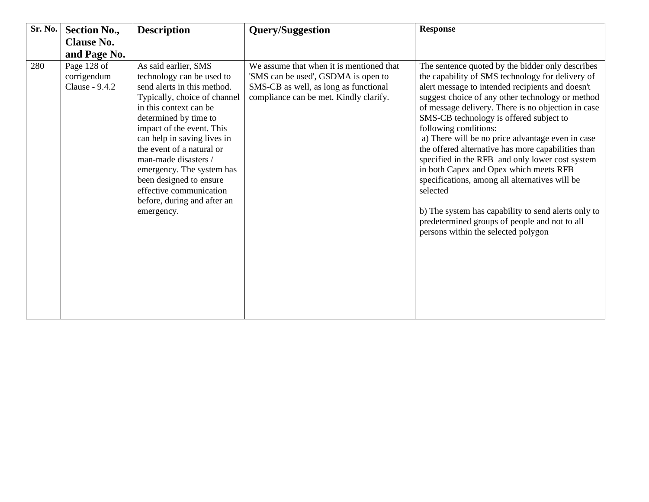| Sr. No. | <b>Section No.,</b>                          | <b>Description</b>                                                                                                                                                                                                                                                                                                                                                                                                   | <b>Query/Suggestion</b>                                                                                                                                            | <b>Response</b>                                                                                                                                                                                                                                                                                                                                                                                                                                                                                                                                                                                                                                                                                                                                            |
|---------|----------------------------------------------|----------------------------------------------------------------------------------------------------------------------------------------------------------------------------------------------------------------------------------------------------------------------------------------------------------------------------------------------------------------------------------------------------------------------|--------------------------------------------------------------------------------------------------------------------------------------------------------------------|------------------------------------------------------------------------------------------------------------------------------------------------------------------------------------------------------------------------------------------------------------------------------------------------------------------------------------------------------------------------------------------------------------------------------------------------------------------------------------------------------------------------------------------------------------------------------------------------------------------------------------------------------------------------------------------------------------------------------------------------------------|
|         | <b>Clause No.</b>                            |                                                                                                                                                                                                                                                                                                                                                                                                                      |                                                                                                                                                                    |                                                                                                                                                                                                                                                                                                                                                                                                                                                                                                                                                                                                                                                                                                                                                            |
|         | and Page No.                                 |                                                                                                                                                                                                                                                                                                                                                                                                                      |                                                                                                                                                                    |                                                                                                                                                                                                                                                                                                                                                                                                                                                                                                                                                                                                                                                                                                                                                            |
| 280     | Page 128 of<br>corrigendum<br>Clause - 9.4.2 | As said earlier, SMS<br>technology can be used to<br>send alerts in this method.<br>Typically, choice of channel<br>in this context can be<br>determined by time to<br>impact of the event. This<br>can help in saving lives in<br>the event of a natural or<br>man-made disasters /<br>emergency. The system has<br>been designed to ensure<br>effective communication<br>before, during and after an<br>emergency. | We assume that when it is mentioned that<br>'SMS can be used', GSDMA is open to<br>SMS-CB as well, as long as functional<br>compliance can be met. Kindly clarify. | The sentence quoted by the bidder only describes<br>the capability of SMS technology for delivery of<br>alert message to intended recipients and doesn't<br>suggest choice of any other technology or method<br>of message delivery. There is no objection in case<br>SMS-CB technology is offered subject to<br>following conditions:<br>a) There will be no price advantage even in case<br>the offered alternative has more capabilities than<br>specified in the RFB and only lower cost system<br>in both Capex and Opex which meets RFB<br>specifications, among all alternatives will be<br>selected<br>b) The system has capability to send alerts only to<br>predetermined groups of people and not to all<br>persons within the selected polygon |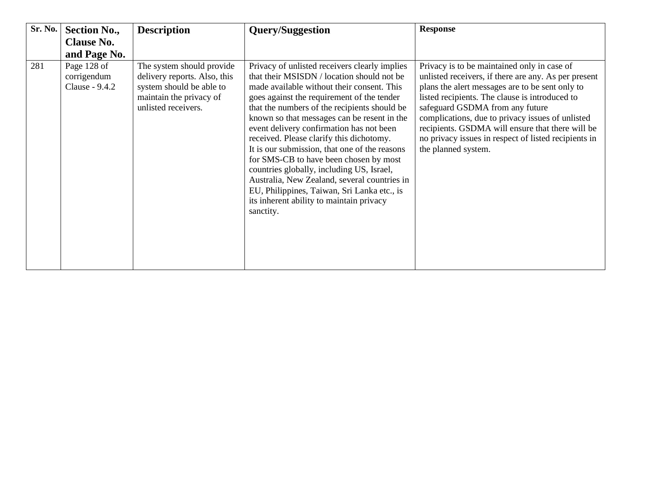| Sr. No. | <b>Section No.,</b>                          | <b>Description</b>                                                                                                                      | <b>Query/Suggestion</b>                                                                                                                                                                                                                                                                                                                                                                                                                                                                                                                                                                                                                                                        | <b>Response</b>                                                                                                                                                                                                                                                                                                                                                                                                                    |
|---------|----------------------------------------------|-----------------------------------------------------------------------------------------------------------------------------------------|--------------------------------------------------------------------------------------------------------------------------------------------------------------------------------------------------------------------------------------------------------------------------------------------------------------------------------------------------------------------------------------------------------------------------------------------------------------------------------------------------------------------------------------------------------------------------------------------------------------------------------------------------------------------------------|------------------------------------------------------------------------------------------------------------------------------------------------------------------------------------------------------------------------------------------------------------------------------------------------------------------------------------------------------------------------------------------------------------------------------------|
|         | <b>Clause No.</b>                            |                                                                                                                                         |                                                                                                                                                                                                                                                                                                                                                                                                                                                                                                                                                                                                                                                                                |                                                                                                                                                                                                                                                                                                                                                                                                                                    |
|         | and Page No.                                 |                                                                                                                                         |                                                                                                                                                                                                                                                                                                                                                                                                                                                                                                                                                                                                                                                                                |                                                                                                                                                                                                                                                                                                                                                                                                                                    |
| 281     | Page 128 of<br>corrigendum<br>Clause - 9.4.2 | The system should provide<br>delivery reports. Also, this<br>system should be able to<br>maintain the privacy of<br>unlisted receivers. | Privacy of unlisted receivers clearly implies<br>that their MSISDN / location should not be<br>made available without their consent. This<br>goes against the requirement of the tender<br>that the numbers of the recipients should be<br>known so that messages can be resent in the<br>event delivery confirmation has not been<br>received. Please clarify this dichotomy.<br>It is our submission, that one of the reasons<br>for SMS-CB to have been chosen by most<br>countries globally, including US, Israel,<br>Australia, New Zealand, several countries in<br>EU, Philippines, Taiwan, Sri Lanka etc., is<br>its inherent ability to maintain privacy<br>sanctity. | Privacy is to be maintained only in case of<br>unlisted receivers, if there are any. As per present<br>plans the alert messages are to be sent only to<br>listed recipients. The clause is introduced to<br>safeguard GSDMA from any future<br>complications, due to privacy issues of unlisted<br>recipients. GSDMA will ensure that there will be<br>no privacy issues in respect of listed recipients in<br>the planned system. |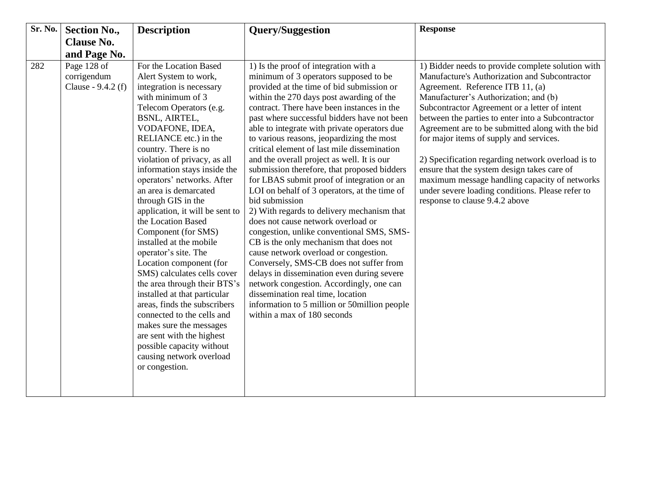| Sr. No. | <b>Section No.,</b>                              | <b>Description</b>                                                                                                                                                                                                                                                                                                                                                                                                                                                                                                                                                                                                                                                                                                                                                                                                          | <b>Query/Suggestion</b>                                                                                                                                                                                                                                                                                                                                                                                                                                                                                                                                                                                                                                                                                                                                                                                                                                                                                                                                                                                                                                                                                     | <b>Response</b>                                                                                                                                                                                                                                                                                                                                                                                                                                                                                                                                                                                                                 |
|---------|--------------------------------------------------|-----------------------------------------------------------------------------------------------------------------------------------------------------------------------------------------------------------------------------------------------------------------------------------------------------------------------------------------------------------------------------------------------------------------------------------------------------------------------------------------------------------------------------------------------------------------------------------------------------------------------------------------------------------------------------------------------------------------------------------------------------------------------------------------------------------------------------|-------------------------------------------------------------------------------------------------------------------------------------------------------------------------------------------------------------------------------------------------------------------------------------------------------------------------------------------------------------------------------------------------------------------------------------------------------------------------------------------------------------------------------------------------------------------------------------------------------------------------------------------------------------------------------------------------------------------------------------------------------------------------------------------------------------------------------------------------------------------------------------------------------------------------------------------------------------------------------------------------------------------------------------------------------------------------------------------------------------|---------------------------------------------------------------------------------------------------------------------------------------------------------------------------------------------------------------------------------------------------------------------------------------------------------------------------------------------------------------------------------------------------------------------------------------------------------------------------------------------------------------------------------------------------------------------------------------------------------------------------------|
|         | <b>Clause No.</b>                                |                                                                                                                                                                                                                                                                                                                                                                                                                                                                                                                                                                                                                                                                                                                                                                                                                             |                                                                                                                                                                                                                                                                                                                                                                                                                                                                                                                                                                                                                                                                                                                                                                                                                                                                                                                                                                                                                                                                                                             |                                                                                                                                                                                                                                                                                                                                                                                                                                                                                                                                                                                                                                 |
|         | and Page No.                                     |                                                                                                                                                                                                                                                                                                                                                                                                                                                                                                                                                                                                                                                                                                                                                                                                                             |                                                                                                                                                                                                                                                                                                                                                                                                                                                                                                                                                                                                                                                                                                                                                                                                                                                                                                                                                                                                                                                                                                             |                                                                                                                                                                                                                                                                                                                                                                                                                                                                                                                                                                                                                                 |
| 282     | Page 128 of<br>corrigendum<br>Clause - 9.4.2 (f) | For the Location Based<br>Alert System to work,<br>integration is necessary<br>with minimum of 3<br>Telecom Operators (e.g.<br>BSNL, AIRTEL,<br>VODAFONE, IDEA,<br>RELIANCE etc.) in the<br>country. There is no<br>violation of privacy, as all<br>information stays inside the<br>operators' networks. After<br>an area is demarcated<br>through GIS in the<br>application, it will be sent to<br>the Location Based<br>Component (for SMS)<br>installed at the mobile<br>operator's site. The<br>Location component (for<br>SMS) calculates cells cover<br>the area through their BTS's<br>installed at that particular<br>areas, finds the subscribers<br>connected to the cells and<br>makes sure the messages<br>are sent with the highest<br>possible capacity without<br>causing network overload<br>or congestion. | 1) Is the proof of integration with a<br>minimum of 3 operators supposed to be<br>provided at the time of bid submission or<br>within the 270 days post awarding of the<br>contract. There have been instances in the<br>past where successful bidders have not been<br>able to integrate with private operators due<br>to various reasons, jeopardizing the most<br>critical element of last mile dissemination<br>and the overall project as well. It is our<br>submission therefore, that proposed bidders<br>for LBAS submit proof of integration or an<br>LOI on behalf of 3 operators, at the time of<br>bid submission<br>2) With regards to delivery mechanism that<br>does not cause network overload or<br>congestion, unlike conventional SMS, SMS-<br>CB is the only mechanism that does not<br>cause network overload or congestion.<br>Conversely, SMS-CB does not suffer from<br>delays in dissemination even during severe<br>network congestion. Accordingly, one can<br>dissemination real time, location<br>information to 5 million or 50 million people<br>within a max of 180 seconds | 1) Bidder needs to provide complete solution with<br>Manufacture's Authorization and Subcontractor<br>Agreement. Reference ITB 11, (a)<br>Manufacturer's Authorization; and (b)<br>Subcontractor Agreement or a letter of intent<br>between the parties to enter into a Subcontractor<br>Agreement are to be submitted along with the bid<br>for major items of supply and services.<br>2) Specification regarding network overload is to<br>ensure that the system design takes care of<br>maximum message handling capacity of networks<br>under severe loading conditions. Please refer to<br>response to clause 9.4.2 above |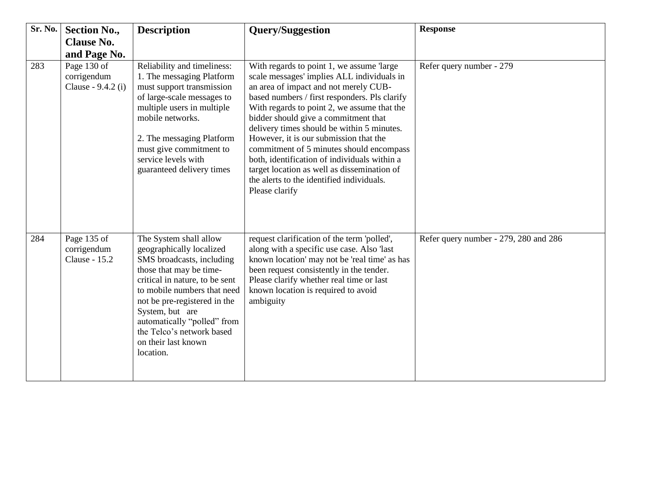| Sr. No. | <b>Section No.,</b><br><b>Clause No.</b>         | <b>Description</b>                                                                                                                                                                                                                                                                                                             | <b>Query/Suggestion</b>                                                                                                                                                                                                                                                                                                                                                                                                                                                                                                                                                     | <b>Response</b>                       |
|---------|--------------------------------------------------|--------------------------------------------------------------------------------------------------------------------------------------------------------------------------------------------------------------------------------------------------------------------------------------------------------------------------------|-----------------------------------------------------------------------------------------------------------------------------------------------------------------------------------------------------------------------------------------------------------------------------------------------------------------------------------------------------------------------------------------------------------------------------------------------------------------------------------------------------------------------------------------------------------------------------|---------------------------------------|
|         | and Page No.                                     |                                                                                                                                                                                                                                                                                                                                |                                                                                                                                                                                                                                                                                                                                                                                                                                                                                                                                                                             |                                       |
| 283     | Page 130 of<br>corrigendum<br>Clause - 9.4.2 (i) | Reliability and timeliness:<br>1. The messaging Platform<br>must support transmission<br>of large-scale messages to<br>multiple users in multiple<br>mobile networks.<br>2. The messaging Platform<br>must give commitment to<br>service levels with<br>guaranteed delivery times                                              | With regards to point 1, we assume 'large'<br>scale messages' implies ALL individuals in<br>an area of impact and not merely CUB-<br>based numbers / first responders. Pls clarify<br>With regards to point 2, we assume that the<br>bidder should give a commitment that<br>delivery times should be within 5 minutes.<br>However, it is our submission that the<br>commitment of 5 minutes should encompass<br>both, identification of individuals within a<br>target location as well as dissemination of<br>the alerts to the identified individuals.<br>Please clarify | Refer query number - 279              |
| 284     | Page 135 of<br>corrigendum<br>Clause - 15.2      | The System shall allow<br>geographically localized<br>SMS broadcasts, including<br>those that may be time-<br>critical in nature, to be sent<br>to mobile numbers that need<br>not be pre-registered in the<br>System, but are<br>automatically "polled" from<br>the Telco's network based<br>on their last known<br>location. | request clarification of the term 'polled',<br>along with a specific use case. Also 'last<br>known location' may not be 'real time' as has<br>been request consistently in the tender.<br>Please clarify whether real time or last<br>known location is required to avoid<br>ambiguity                                                                                                                                                                                                                                                                                      | Refer query number - 279, 280 and 286 |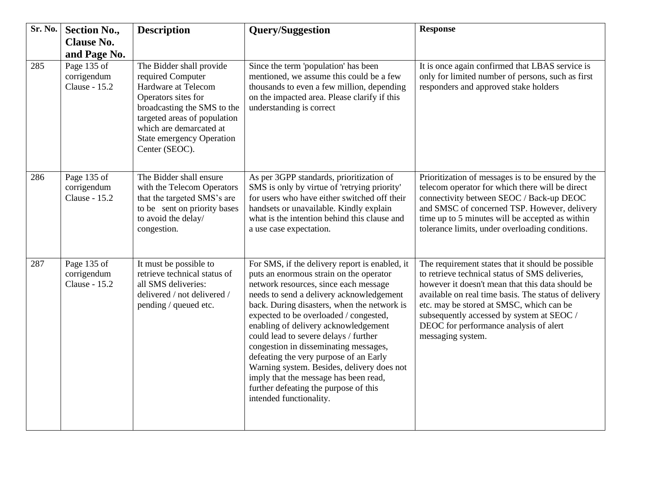| Sr. No. | <b>Section No.,</b>                                | <b>Description</b>                                                                                                                                                                                                                          | <b>Query/Suggestion</b>                                                                                                                                                                                                                                                                                                                                                                                                                                                                                                                                                                                | <b>Response</b>                                                                                                                                                                                                                                                                                                                                                          |
|---------|----------------------------------------------------|---------------------------------------------------------------------------------------------------------------------------------------------------------------------------------------------------------------------------------------------|--------------------------------------------------------------------------------------------------------------------------------------------------------------------------------------------------------------------------------------------------------------------------------------------------------------------------------------------------------------------------------------------------------------------------------------------------------------------------------------------------------------------------------------------------------------------------------------------------------|--------------------------------------------------------------------------------------------------------------------------------------------------------------------------------------------------------------------------------------------------------------------------------------------------------------------------------------------------------------------------|
|         | <b>Clause No.</b>                                  |                                                                                                                                                                                                                                             |                                                                                                                                                                                                                                                                                                                                                                                                                                                                                                                                                                                                        |                                                                                                                                                                                                                                                                                                                                                                          |
|         | and Page No.                                       |                                                                                                                                                                                                                                             |                                                                                                                                                                                                                                                                                                                                                                                                                                                                                                                                                                                                        |                                                                                                                                                                                                                                                                                                                                                                          |
| 285     | Page 135 of<br>corrigendum<br><b>Clause - 15.2</b> | The Bidder shall provide<br>required Computer<br>Hardware at Telecom<br>Operators sites for<br>broadcasting the SMS to the<br>targeted areas of population<br>which are demarcated at<br><b>State emergency Operation</b><br>Center (SEOC). | Since the term 'population' has been<br>mentioned, we assume this could be a few<br>thousands to even a few million, depending<br>on the impacted area. Please clarify if this<br>understanding is correct                                                                                                                                                                                                                                                                                                                                                                                             | It is once again confirmed that LBAS service is<br>only for limited number of persons, such as first<br>responders and approved stake holders                                                                                                                                                                                                                            |
| 286     | Page 135 of<br>corrigendum<br><b>Clause - 15.2</b> | The Bidder shall ensure<br>with the Telecom Operators<br>that the targeted SMS's are<br>to be sent on priority bases<br>to avoid the delay/<br>congestion.                                                                                  | As per 3GPP standards, prioritization of<br>SMS is only by virtue of 'retrying priority'<br>for users who have either switched off their<br>handsets or unavailable. Kindly explain<br>what is the intention behind this clause and<br>a use case expectation.                                                                                                                                                                                                                                                                                                                                         | Prioritization of messages is to be ensured by the<br>telecom operator for which there will be direct<br>connectivity between SEOC / Back-up DEOC<br>and SMSC of concerned TSP. However, delivery<br>time up to 5 minutes will be accepted as within<br>tolerance limits, under overloading conditions.                                                                  |
| 287     | Page 135 of<br>corrigendum<br><b>Clause - 15.2</b> | It must be possible to<br>retrieve technical status of<br>all SMS deliveries:<br>delivered / not delivered /<br>pending / queued etc.                                                                                                       | For SMS, if the delivery report is enabled, it<br>puts an enormous strain on the operator<br>network resources, since each message<br>needs to send a delivery acknowledgement<br>back. During disasters, when the network is<br>expected to be overloaded / congested,<br>enabling of delivery acknowledgement<br>could lead to severe delays / further<br>congestion in disseminating messages,<br>defeating the very purpose of an Early<br>Warning system. Besides, delivery does not<br>imply that the message has been read,<br>further defeating the purpose of this<br>intended functionality. | The requirement states that it should be possible<br>to retrieve technical status of SMS deliveries,<br>however it doesn't mean that this data should be<br>available on real time basis. The status of delivery<br>etc. may be stored at SMSC, which can be<br>subsequently accessed by system at SEOC /<br>DEOC for performance analysis of alert<br>messaging system. |